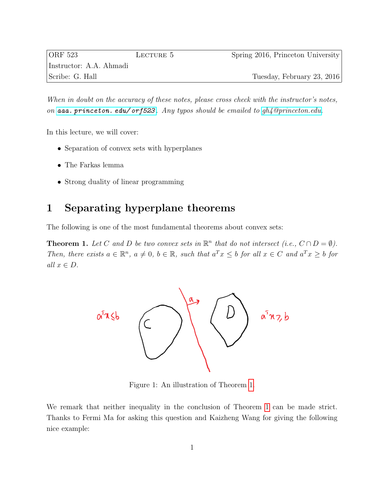| $ {\rm ORF\ 523} $      | LECTURE 5 | Spring 2016, Princeton University |
|-------------------------|-----------|-----------------------------------|
| Instructor: A.A. Ahmadi |           |                                   |
| Scribe: G. Hall         |           | Tuesday, February 23, 2016        |

When in doubt on the accuracy of these notes, please cross check with the instructor's notes, on [aaa. princeton. edu/ orf523](aaa.princeton.edu/orf523) . Any typos should be emailed to [gh4@princeton.edu.](mailto: gh4@princeton.edu)

In this lecture, we will cover:

- Separation of convex sets with hyperplanes
- The Farkas lemma
- Strong duality of linear programming

## 1 Separating hyperplane theorems

The following is one of the most fundamental theorems about convex sets:

<span id="page-0-1"></span><span id="page-0-0"></span>**Theorem 1.** Let C and D be two convex sets in  $\mathbb{R}^n$  that do not intersect (i.e.,  $C \cap D = \emptyset$ ). Then, there exists  $a \in \mathbb{R}^n$ ,  $a \neq 0$ ,  $b \in \mathbb{R}$ , such that  $a^T x \leq b$  for all  $x \in C$  and  $a^T x \geq b$  for all  $x \in D$ .



Figure 1: An illustration of Theorem [1.](#page-0-0)

We remark that neither inequality in the conclusion of Theorem [1](#page-0-0) can be made strict. Thanks to Fermi Ma for asking this question and Kaizheng Wang for giving the following nice example: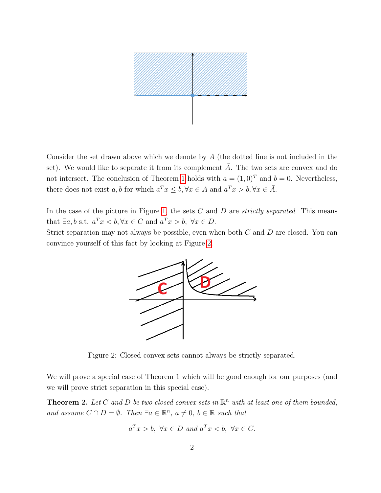

Consider the set drawn above which we denote by A (the dotted line is not included in the set). We would like to separate it from its complement  $\overline{A}$ . The two sets are convex and do not intersect. The conclusion of Theorem [1](#page-0-0) holds with  $a = (1, 0)^T$  and  $b = 0$ . Nevertheless, there does not exist a, b for which  $a^T x \leq b, \forall x \in A$  and  $a^T x > b, \forall x \in \overline{A}$ .

In the case of the picture in Figure [1,](#page-0-1) the sets  $C$  and  $D$  are *strictly separated*. This means that  $\exists a, b \text{ s.t. } a^T x < b, \forall x \in C \text{ and } a^T x > b, \forall x \in D.$ 

<span id="page-1-0"></span>Strict separation may not always be possible, even when both C and D are closed. You can convince yourself of this fact by looking at Figure [2.](#page-1-0)



Figure 2: Closed convex sets cannot always be strictly separated.

We will prove a special case of Theorem 1 which will be good enough for our purposes (and we will prove strict separation in this special case).

<span id="page-1-1"></span>**Theorem 2.** Let C and D be two closed convex sets in  $\mathbb{R}^n$  with at least one of them bounded, and assume  $C \cap D = \emptyset$ . Then  $\exists a \in \mathbb{R}^n$ ,  $a \neq 0$ ,  $b \in \mathbb{R}$  such that

$$
a^T x > b
$$
,  $\forall x \in D$  and  $a^T x < b$ ,  $\forall x \in C$ .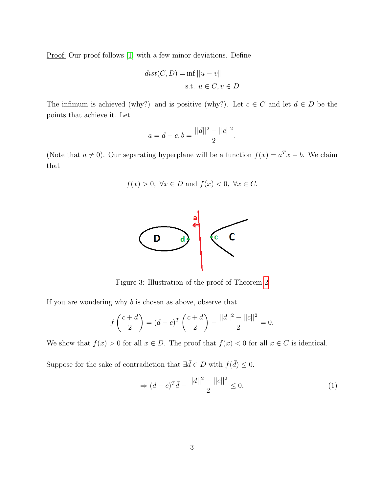Proof: Our proof follows [\[1\]](#page-10-0) with a few minor deviations. Define

$$
dist(C, D) = \inf ||u - v||
$$
  
s.t.  $u \in C, v \in D$ 

The infimum is achieved (why?) and is positive (why?). Let  $c \in C$  and let  $d \in D$  be the points that achieve it. Let

$$
a = d - c, b = \frac{||d||^2 - ||c||^2}{2}.
$$

(Note that  $a \neq 0$ ). Our separating hyperplane will be a function  $f(x) = a^T x - b$ . We claim that

$$
f(x) > 0
$$
,  $\forall x \in D$  and  $f(x) < 0$ ,  $\forall x \in C$ .



Figure 3: Illustration of the proof of Theorem [2](#page-1-1)

If you are wondering why  $b$  is chosen as above, observe that

$$
f\left(\frac{c+d}{2}\right) = (d-c)^T \left(\frac{c+d}{2}\right) - \frac{||d||^2 - ||c||^2}{2} = 0.
$$

We show that  $f(x) > 0$  for all  $x \in D$ . The proof that  $f(x) < 0$  for all  $x \in C$  is identical.

Suppose for the sake of contradiction that  $\exists \bar{d} \in D$  with  $f(\bar{d}) \leq 0$ .

<span id="page-2-0"></span>
$$
\Rightarrow (d-c)^T \bar{d} - \frac{||d||^2 - ||c||^2}{2} \le 0.
$$
 (1)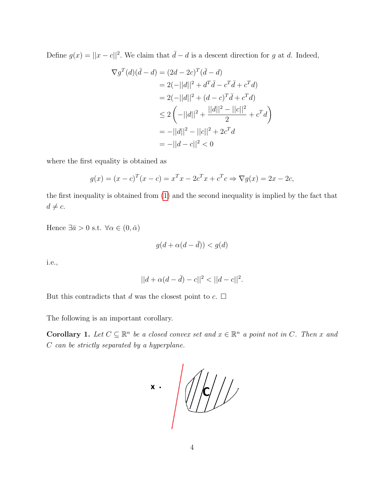Define  $g(x) = ||x - c||^2$ . We claim that  $\overline{d} - d$  is a descent direction for g at d. Indeed,

$$
\nabla g^T(d)(\bar{d} - d) = (2d - 2c)^T(\bar{d} - d)
$$
  
= 2(-||d||<sup>2</sup> + d<sup>T</sup>\bar{d} - c<sup>T</sup>\bar{d} + c<sup>T</sup>d)  
= 2(-||d||<sup>2</sup> + (d - c)<sup>T</sup>\bar{d} + c<sup>T</sup>d)  

$$
\leq 2(-||d||^2 + \frac{||d||^2 - ||c||^2}{2} + cTd)
$$
  
= -||d||<sup>2</sup> - ||c||<sup>2</sup> + 2c<sup>T</sup>d  
= -||d - c||<sup>2</sup> < 0

where the first equality is obtained as

$$
g(x) = (x - c)^{T} (x - c) = x^{T} x - 2c^{T} x + c^{T} c \Rightarrow \nabla g(x) = 2x - 2c,
$$

the first inequality is obtained from [\(1\)](#page-2-0) and the second inequality is implied by the fact that  $d \neq c$ .

Hence  $\exists \bar{a} > 0$  s.t.  $\forall \alpha \in (0, \bar{\alpha})$ 

$$
g(d + \alpha(d - \bar{d})) < g(d)
$$

i.e.,

$$
||d + \alpha(d - \bar{d}) - c||^2 < ||d - c||^2.
$$

But this contradicts that d was the closest point to  $c$ .  $\Box$ 

The following is an important corollary.

**Corollary 1.** Let  $C \subseteq \mathbb{R}^n$  be a closed convex set and  $x \in \mathbb{R}^n$  a point not in C. Then x and C can be strictly separated by a hyperplane.

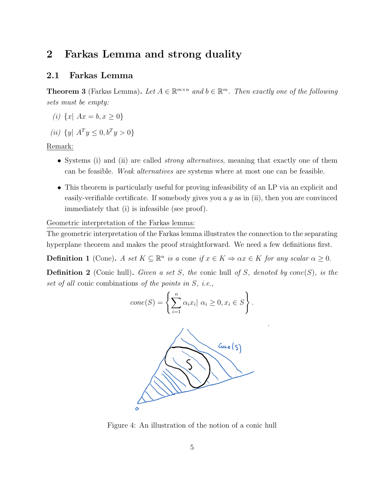## 2 Farkas Lemma and strong duality

#### 2.1 Farkas Lemma

<span id="page-4-0"></span>**Theorem 3** (Farkas Lemma). Let  $A \in \mathbb{R}^{m \times n}$  and  $b \in \mathbb{R}^m$ . Then exactly one of the following sets must be empty:

- (i)  $\{x \mid Ax = b, x \geq 0\}$
- (*ii*)  $\{y \mid A^T y \leq 0, b^T y > 0\}$

Remark:

- Systems (i) and (ii) are called *strong alternatives*, meaning that exactly one of them can be feasible. Weak alternatives are systems where at most one can be feasible.
- This theorem is particularly useful for proving infeasibility of an LP via an explicit and easily-verifiable certificate. If somebody gives you a  $y$  as in (ii), then you are convinced immediately that (i) is infeasible (see proof).

Geometric interpretation of the Farkas lemma:

The geometric interpretation of the Farkas lemma illustrates the connection to the separating hyperplane theorem and makes the proof straightforward. We need a few definitions first.

**Definition 1** (Cone). A set  $K \subseteq \mathbb{R}^n$  is a cone if  $x \in K \Rightarrow \alpha x \in K$  for any scalar  $\alpha \geq 0$ .

**Definition 2** (Conic hull). Given a set S, the conic hull of S, denoted by cone(S), is the set of all conic combinations of the points in S, i.e.,

$$
cone(S) = \left\{ \sum_{i=1}^{n} \alpha_i x_i | \alpha_i \ge 0, x_i \in S \right\}.
$$



Figure 4: An illustration of the notion of a conic hull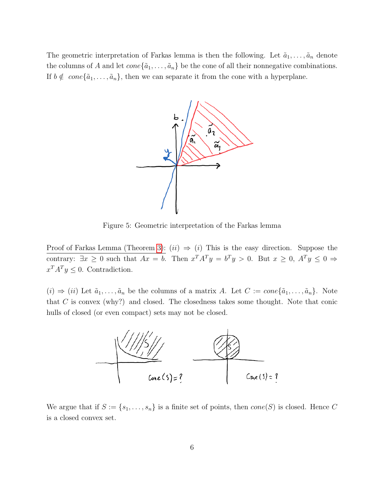The geometric interpretation of Farkas lemma is then the following. Let  $\tilde{a}_1, \ldots, \tilde{a}_n$  denote the columns of A and let  $cone{\tilde{a}_1, ..., \tilde{a}_n}$  be the cone of all their nonnegative combinations. If  $b \notin cone{\tilde{a}_1, \ldots, \tilde{a}_n}$ , then we can separate it from the cone with a hyperplane.



Figure 5: Geometric interpretation of the Farkas lemma

Proof of Farkas Lemma (Theorem [3\)](#page-4-0):  $(ii) \Rightarrow (i)$  This is the easy direction. Suppose the contrary:  $\exists x \geq 0$  such that  $Ax = b$ . Then  $x^T A^T y = b^T y > 0$ . But  $x \geq 0$ ,  $A^T y \leq 0 \Rightarrow$  $x^T A^T y \leq 0$ . Contradiction.

 $(i) \Rightarrow (ii)$  Let  $\tilde{a}_1, \ldots, \tilde{a}_n$  be the columns of a matrix A. Let  $C := cone{\tilde{a}_1, \ldots, \tilde{a}_n}$ . Note that  $C$  is convex (why?) and closed. The closedness takes some thought. Note that conic hulls of closed (or even compact) sets may not be closed.



We argue that if  $S := \{s_1, \ldots, s_n\}$  is a finite set of points, then  $cone(S)$  is closed. Hence C is a closed convex set.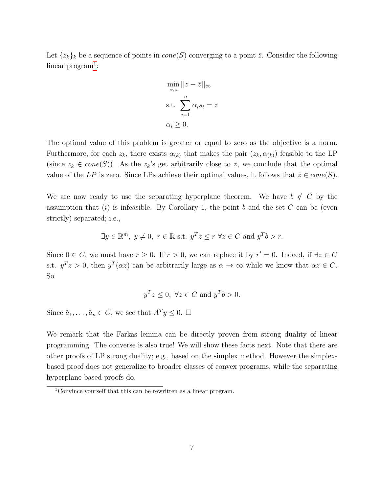Let  $\{z_k\}_k$  be a sequence of points in  $cone(S)$  converging to a point  $\overline{z}$ . Consider the following  $linear program<sup>1</sup>:$  $linear program<sup>1</sup>:$  $linear program<sup>1</sup>:$ 

$$
\min_{\alpha, z} ||z - \bar{z}||_{\infty}
$$
  
s.t. 
$$
\sum_{i=1}^{n} \alpha_i s_i = z
$$

$$
\alpha_i \ge 0.
$$

The optimal value of this problem is greater or equal to zero as the objective is a norm. Furthermore, for each  $z_k$ , there exists  $\alpha_{(k)}$  that makes the pair  $(z_k, \alpha_{(k)})$  feasible to the LP (since  $z_k \in cone(S)$ ). As the  $z_k$ 's get arbitrarily close to  $\overline{z}$ , we conclude that the optimal value of the LP is zero. Since LPs achieve their optimal values, it follows that  $\bar{z} \in cone(S)$ .

We are now ready to use the separating hyperplane theorem. We have  $b \notin C$  by the assumption that  $(i)$  is infeasible. By Corollary 1, the point b and the set C can be (even strictly) separated; i.e.,

$$
\exists y \in \mathbb{R}^m, y \neq 0, r \in \mathbb{R} \text{ s.t. } y^Tz \leq r \ \forall z \in C \text{ and } y^Tb > r.
$$

Since  $0 \in C$ , we must have  $r \geq 0$ . If  $r > 0$ , we can replace it by  $r' = 0$ . Indeed, if  $\exists z \in C$ s.t.  $y^T z > 0$ , then  $y^T(\alpha z)$  can be arbitrarily large as  $\alpha \to \infty$  while we know that  $\alpha z \in C$ . So

$$
y^T z \le 0, \ \forall z \in C \text{ and } y^T b > 0.
$$

Since  $\tilde{a}_1, \ldots, \tilde{a}_n \in C$ , we see that  $A^T y \leq 0$ .  $\Box$ 

We remark that the Farkas lemma can be directly proven from strong duality of linear programming. The converse is also true! We will show these facts next. Note that there are other proofs of LP strong duality; e.g., based on the simplex method. However the simplexbased proof does not generalize to broader classes of convex programs, while the separating hyperplane based proofs do.

<span id="page-6-0"></span><sup>&</sup>lt;sup>1</sup>Convince yourself that this can be rewritten as a linear program.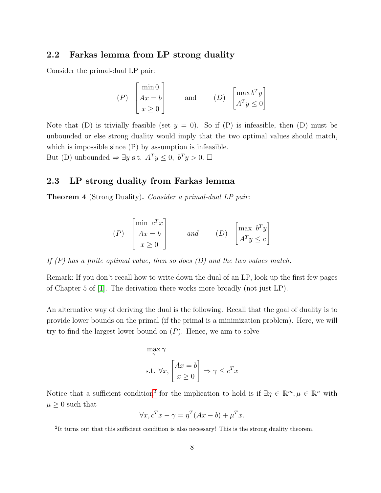#### 2.2 Farkas lemma from LP strong duality

Consider the primal-dual LP pair:

$$
(P) \begin{bmatrix} \min 0 \\ Ax = b \\ x \ge 0 \end{bmatrix} \quad \text{and} \quad (D) \begin{bmatrix} \max b^T y \\ A^T y \le 0 \end{bmatrix}
$$

Note that (D) is trivially feasible (set  $y = 0$ ). So if (P) is infeasible, then (D) must be unbounded or else strong duality would imply that the two optimal values should match, which is impossible since (P) by assumption is infeasible. But (D) unbounded  $\Rightarrow \exists y \text{ s.t. } A^T y \leq 0, b^T y > 0. \Box$ 

#### 2.3 LP strong duality from Farkas lemma

Theorem 4 (Strong Duality). Consider a primal-dual LP pair:

$$
(P) \begin{bmatrix} \min c^T x \\ Ax = b \\ x \ge 0 \end{bmatrix} \quad \text{and} \quad (D) \begin{bmatrix} \max b^T y \\ A^T y \le c \end{bmatrix}
$$

If  $(P)$  has a finite optimal value, then so does  $(D)$  and the two values match.

Remark: If you don't recall how to write down the dual of an LP, look up the first few pages of Chapter 5 of [\[1\]](#page-10-0). The derivation there works more broadly (not just LP).

An alternative way of deriving the dual is the following. Recall that the goal of duality is to provide lower bounds on the primal (if the primal is a minimization problem). Here, we will try to find the largest lower bound on  $(P)$ . Hence, we aim to solve

$$
\max_{\gamma} \gamma
$$
  
s.t.  $\forall x, \begin{bmatrix} Ax = b \\ x \ge 0 \end{bmatrix} \Rightarrow \gamma \le c^T x$ 

Notice that a sufficient condition<sup>[2](#page-7-0)</sup> for the implication to hold is if  $\exists \eta \in \mathbb{R}^m, \mu \in \mathbb{R}^n$  with  $\mu \geq 0$  such that

$$
\forall x, c^T x - \gamma = \eta^T (Ax - b) + \mu^T x.
$$

<span id="page-7-0"></span><sup>&</sup>lt;sup>2</sup>It turns out that this sufficient condition is also necessary! This is the strong duality theorem.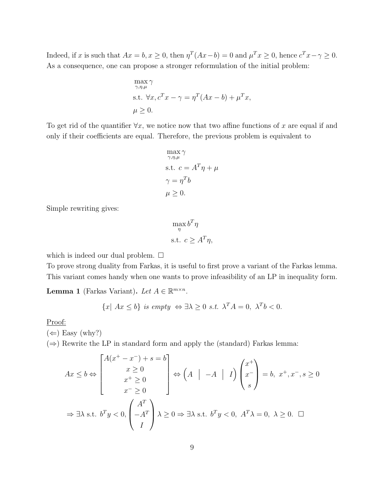Indeed, if x is such that  $Ax = b, x \ge 0$ , then  $\eta^{T}(Ax - b) = 0$  and  $\mu^{T}x \ge 0$ , hence  $c^{T}x - \gamma \ge 0$ . As a consequence, one can propose a stronger reformulation of the initial problem:

$$
\max_{\gamma,\eta,\mu} \gamma
$$
  
s.t.  $\forall x, c^T x - \gamma = \eta^T (Ax - b) + \mu^T x$ ,  
 $\mu \ge 0$ .

To get rid of the quantifier  $\forall x$ , we notice now that two affine functions of x are equal if and only if their coefficients are equal. Therefore, the previous problem is equivalent to

$$
\max_{\gamma,\eta,\mu} \gamma
$$
  
s.t.  $c = A^T \eta + \mu$   
 $\gamma = \eta^T b$   
 $\mu \ge 0$ .

Simple rewriting gives:

$$
\max_{\eta} b^T \eta
$$
  
s.t.  $c \ge A^T \eta$ ,

which is indeed our dual problem.  $\Box$ 

To prove strong duality from Farkas, it is useful to first prove a variant of the Farkas lemma. This variant comes handy when one wants to prove infeasibility of an LP in inequality form.

**Lemma 1** (Farkas Variant). Let  $A \in \mathbb{R}^{m \times n}$ .

$$
\{x \mid Ax \leq b\} \text{ is empty } \Leftrightarrow \exists \lambda \geq 0 \text{ s.t. } \lambda^T A = 0, \ \lambda^T b < 0.
$$

Proof:

 $(\Leftarrow)$  Easy (why?)

 $(\Rightarrow)$  Rewrite the LP in standard form and apply the (standard) Farkas lemma:

$$
Ax \le b \Leftrightarrow \begin{bmatrix} A(x^+ - x^-) + s = b \\ x \ge 0 \\ x^+ \ge 0 \\ x^- \ge 0 \end{bmatrix} \Leftrightarrow \begin{pmatrix} A & | & -A & | & I \end{pmatrix} \begin{pmatrix} x^+ \\ x^- \\ s \end{pmatrix} = b, \ x^+, x^-, s \ge 0
$$
\n
$$
\Rightarrow \exists \lambda \text{ s.t. } b^T y < 0, \begin{pmatrix} A^T \\ -A^T \\ I \end{pmatrix} \lambda \ge 0 \Rightarrow \exists \lambda \text{ s.t. } b^T y < 0, \ A^T \lambda = 0, \ \lambda \ge 0. \ \ \Box
$$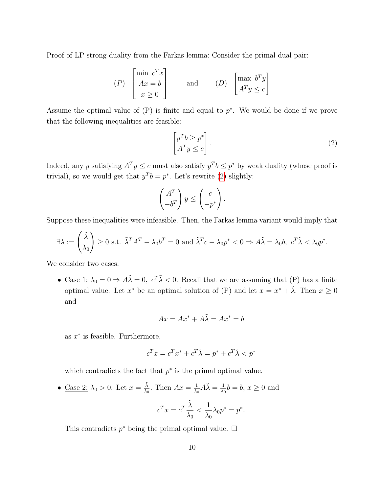Proof of LP strong duality from the Farkas lemma: Consider the primal dual pair:

$$
(P) \begin{bmatrix} \min c^T x \\ Ax = b \\ x \ge 0 \end{bmatrix} \quad \text{and} \quad (D) \begin{bmatrix} \max b^T y \\ A^T y \le c \end{bmatrix}
$$

Assume the optimal value of  $(P)$  is finite and equal to  $p^*$ . We would be done if we prove that the following inequalities are feasible:

<span id="page-9-0"></span>
$$
\begin{bmatrix} y^T b \ge p^* \\ A^T y \le c \end{bmatrix} . \tag{2}
$$

Indeed, any y satisfying  $A^T y \leq c$  must also satisfy  $y^T b \leq p^*$  by weak duality (whose proof is trivial), so we would get that  $y^T b = p^*$ . Let's rewrite [\(2\)](#page-9-0) slightly:

$$
\begin{pmatrix} A^T \\ -b^T \end{pmatrix} y \le \begin{pmatrix} c \\ -p^* \end{pmatrix}.
$$

Suppose these inequalities were infeasible. Then, the Farkas lemma variant would imply that

$$
\exists \lambda := \begin{pmatrix} \tilde{\lambda} \\ \lambda_0 \end{pmatrix} \ge 0 \text{ s.t. } \tilde{\lambda}^T A^T - \lambda_0 b^T = 0 \text{ and } \tilde{\lambda}^T c - \lambda_0 p^* < 0 \Rightarrow A\tilde{\lambda} = \lambda_0 b, c^T \tilde{\lambda} < \lambda_0 p^*.
$$

We consider two cases:

• Case 1:  $\lambda_0 = 0 \Rightarrow A\tilde{\lambda} = 0$ ,  $c^T \tilde{\lambda} < 0$ . Recall that we are assuming that (P) has a finite optimal value. Let  $x^*$  be an optimal solution of (P) and let  $x = x^* + \tilde{\lambda}$ . Then  $x \ge 0$ and

$$
Ax = Ax^* + A\tilde{\lambda} = Ax^* = b
$$

as  $x^*$  is feasible. Furthermore,

$$
c^T x = c^T x^* + c^T \tilde{\lambda} = p^* + c^T \tilde{\lambda} < p^*
$$

which contradicts the fact that  $p^*$  is the primal optimal value.

• <u>Case 2:</u>  $\lambda_0 > 0$ . Let  $x = \frac{\tilde{\lambda}}{\lambda_0}$  $\frac{\lambda}{\lambda_0}$ . Then  $Ax = \frac{1}{\lambda_0}$  $\frac{1}{\lambda_0}A\tilde{\lambda} = \frac{1}{\lambda_0}$  $\frac{1}{\lambda_0}b = b, x \geq 0$  and  $\tilde{\lambda}$ 1

$$
c^T x = c^T \frac{\lambda}{\lambda_0} < \frac{1}{\lambda_0} \lambda_0 p^* = p^*.
$$

This contradicts  $p^*$  being the primal optimal value.  $\Box$